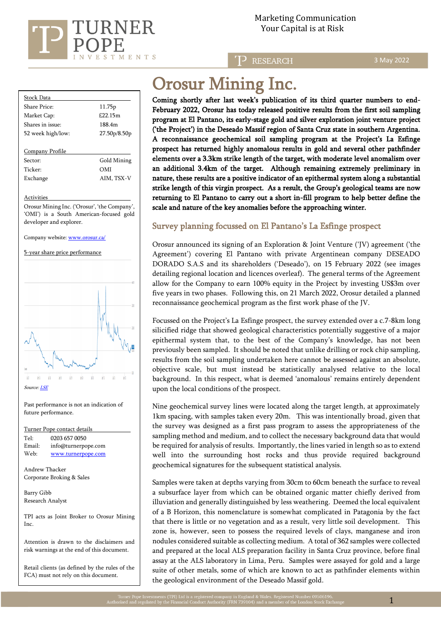

3 May 2022

| 11.75 <sub>p</sub> |
|--------------------|
| £22.15m            |
| 188.4m             |
| 27.50p/8.50p       |
|                    |
|                    |
| Gold Mining        |
| OMI                |
|                    |

**Activities** 

Orosur Mining Inc. ('Orosur', 'the Company', 'OMI') is a South American-focused gold developer and explorer.

Exchange AIM, TSX-V

Company website[: www.orosur.ca/](http://www.orosur.ca/) 

5-year share price performance



Past performance is not an indication of future performance.

Turner Pope contact details Tel: [0203](tel:0203) 657 0050 Email: info@turnerpope.com Web: [www.turnerpope.com](http://www.turnerpope.com/)

Andrew Thacker Corporate Broking & Sales

Barry Gibb Research Analyst

TPI acts as Joint Broker to Orosur Mining Inc.

Attention is drawn to the disclaimers and risk warnings at the end of this document.

Retail clients (as defined by the rules of the FCA) must not rely on this document.

# Orosur Mining Inc.

Coming shortly after last week's publication of its third quarter numbers to end-February 2022, Orosur has today released positive results from the first soil sampling program at El Pantano, its early-stage gold and silver exploration joint venture project ('the Project') in the Deseado Massif region of Santa Cruz state in southern Argentina. A reconnaissance geochemical soil sampling program at the Project's La Esfinge prospect has returned highly anomalous results in gold and several other pathfinder elements over a 3.3km strike length of the target, with moderate level anomalism over an additional 3.4km of the target. Although remaining extremely preliminary in nature, these results are a positive indicator of an epithermal system along a substantial strike length of this virgin prospect. As a result, the Group's geological teams are now returning to El Pantano to carry out a short in-fill program to help better define the scale and nature of the key anomalies before the approaching winter.

# Survey planning focussed on El Pantano's La Esfinge prospect

Orosur announced its signing of an Exploration & Joint Venture ('JV) agreement ('the Agreement') covering El Pantano with private Argentinean company DESEADO DORADO S.A.S and its shareholders ('Deseado'), on 15 February 2022 (see images detailing regional location and licences overleaf). The general terms of the Agreement allow for the Company to earn 100% equity in the Project by investing US\$3m over five years in two phases. Following this, on 21 March 2022, Orosur detailed a planned reconnaissance geochemical program as the first work phase of the JV.

Focussed on the Project's La Esfinge prospect, the survey extended over a c.7-8km long silicified ridge that showed geological characteristics potentially suggestive of a major epithermal system that, to the best of the Company's knowledge, has not been previously been sampled. It should be noted that unlike drilling or rock chip sampling, results from the soil sampling undertaken here cannot be assessed against an absolute, objective scale, but must instead be statistically analysed relative to the local background. In this respect, what is deemed 'anomalous' remains entirely dependent upon the local conditions of the prospect.

Nine geochemical survey lines were located along the target length, at approximately 1km spacing, with samples taken every 20m. This was intentionally broad, given that the survey was designed as a first pass program to assess the appropriateness of the sampling method and medium, and to collect the necessary background data that would be required for analysis of results. Importantly, the lines varied in length so as to extend well into the surrounding host rocks and thus provide required background geochemical signatures for the subsequent statistical analysis.

Samples were taken at depths varying from 30cm to 60cm beneath the surface to reveal a subsurface layer from which can be obtained organic matter chiefly derived from illuviation and generally distinguished by less weathering. Deemed the local equivalent of a B Horizon, this nomenclature is somewhat complicated in Patagonia by the fact that there is little or no vegetation and as a result, very little soil development. This zone is, however, seen to possess the required levels of clays, manganese and iron nodules considered suitable as collecting medium. A total of 362 samples were collected and prepared at the local ALS preparation facility in Santa Cruz province, before final assay at the ALS laboratory in Lima, Peru. Samples were assayed for gold and a large suite of other metals, some of which are known to act as pathfinder elements within the geological environment of the Deseado Massif gold.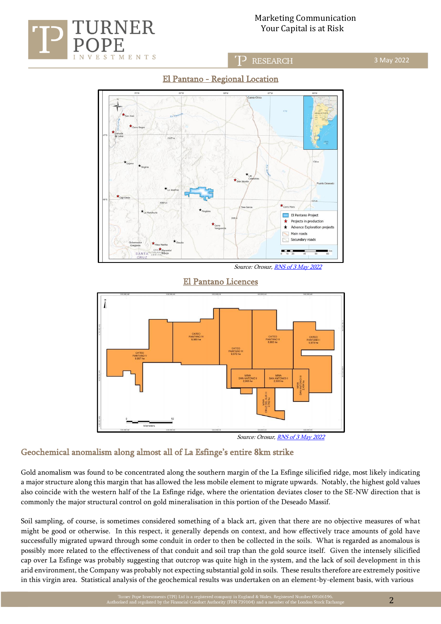









Source: Orosur[, RNS of 3 May 2022](https://www.londonstockexchange.com/news-article/OMI/el-pantano-argentina-update/15433643)

 $\overline{a}$ 

## Geochemical anomalism along almost all of La Esfinge's entire 8km strike

Gold anomalism was found to be concentrated along the southern margin of the La Esfinge silicified ridge, most likely indicating a major structure along this margin that has allowed the less mobile element to migrate upwards. Notably, the highest gold values also coincide with the western half of the La Esfinge ridge, where the orientation deviates closer to the SE-NW direction that is commonly the major structural control on gold mineralisation in this portion of the Deseado Massif.

Soil sampling, of course, is sometimes considered something of a black art, given that there are no objective measures of what might be good or otherwise. In this respect, it generally depends on context, and how effectively trace amounts of gold have successfully migrated upward through some conduit in order to then be collected in the soils. What is regarded as anomalous is possibly more related to the effectiveness of that conduit and soil trap than the gold source itself. Given the intensely silicified cap over La Esfinge was probably suggesting that outcrop was quite high in the system, and the lack of soil development in this arid environment, the Company was probably not expecting substantial gold in soils. These results therefore are extremely positive in this virgin area. Statistical analysis of the geochemical results was undertaken on an element-by-element basis, with various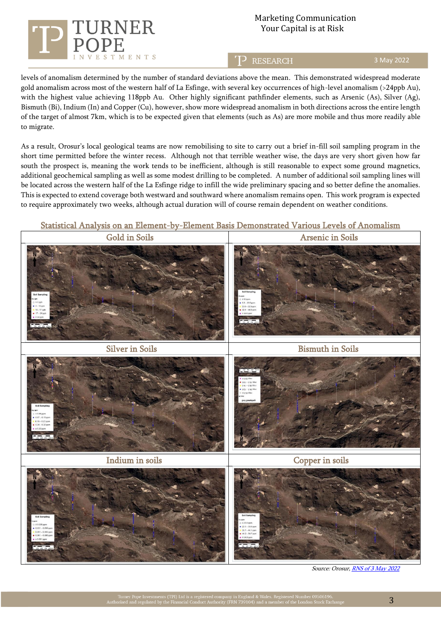

# Marketing Communication  $J\mathbf{RNER}$  Your Capital is at Risk

**RESEARCH** 

3 May 2022

levels of anomalism determined by the number of standard deviations above the mean. This demonstrated widespread moderate gold anomalism across most of the western half of La Esfinge, with several key occurrences of high-level anomalism (>24ppb Au), with the highest value achieving 118ppb Au. Other highly significant pathfinder elements, such as Arsenic (As), Silver (Ag), Bismuth (Bi), Indium (In) and Copper (Cu), however, show more widespread anomalism in both directions across the entire length of the target of almost 7km, which is to be expected given that elements (such as As) are more mobile and thus more readily able to migrate.

As a result, Orosur's local geological teams are now remobilising to site to carry out a brief in-fill soil sampling program in the short time permitted before the winter recess. Although not that terrible weather wise, the days are very short given how far south the prospect is, meaning the work tends to be inefficient, although is still reasonable to expect some ground magnetics, additional geochemical sampling as well as some modest drilling to be completed. A number of additional soil sampling lines will be located across the western half of the La Esfinge ridge to infill the wide preliminary spacing and so better define the anomalies. This is expected to extend coverage both westward and southward where anomalism remains open. This work program is expected to require approximately two weeks, although actual duration will of course remain dependent on weather conditions.

## Statistical Analysis on an Element-by-Element Basis Demonstrated Various Levels of Anomalism



Source: Orosur[, RNS of 3 May 2022](https://www.londonstockexchange.com/news-article/OMI/el-pantano-argentina-update/15433643)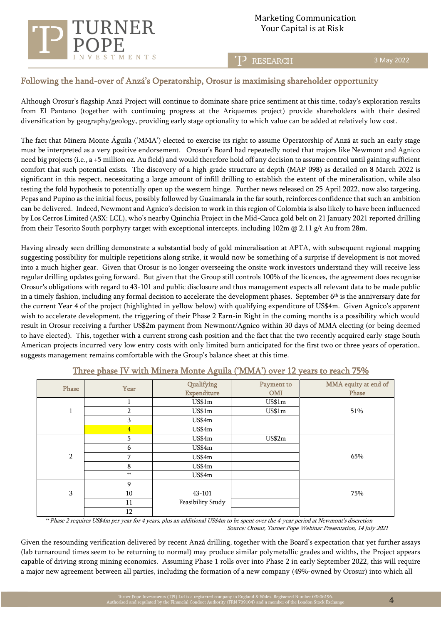

3 May 2022

# Following the hand-over of Anzá's Operatorship, Orosur is maximising shareholder opportunity

Although Orosur's flagship Anzá Project will continue to dominate share price sentiment at this time, today's exploration results from El Pantano (together with continuing progress at the Ariquemes project) provide shareholders with their desired diversification by geography/geology, providing early stage optionality to which value can be added at relatively low cost.

The fact that Minera Monte Águila ('MMA') elected to exercise its right to assume Operatorship of Anzá at such an early stage must be interpreted as a very positive endorsement. Orosur's Board had repeatedly noted that majors like Newmont and Agnico need big projects (i.e., a +5 million oz. Au field) and would therefore hold off any decision to assume control until gaining sufficient comfort that such potential exists. The discovery of a high-grade structure at depth (MAP-098) as detailed on 8 March 2022 is significant in this respect, necessitating a large amount of infill drilling to establish the extent of the mineralisation, while also testing the fold hypothesis to potentially open up the western hinge. Further news released on 25 April 2022, now also targeting, Pepas and Pupino as the initial focus, possibly followed by Guaimarala in the far south, reinforces confidence that such an ambition can be delivered. Indeed, Newmont and Agnico's decision to work in this region of Colombia is also likely to have been influenced by Los Cerros Limited (ASX: LCL), who's nearby Quinchia Project in the Mid-Cauca gold belt on 21 January 2021 reported drilling from their Tesorito South porphyry target with exceptional intercepts, including 102m @ 2.11 g/t Au from 28m.

Having already seen drilling demonstrate a substantial body of gold mineralisation at APTA, with subsequent regional mapping suggesting possibility for multiple repetitions along strike, it would now be something of a surprise if development is not moved into a much higher gear. Given that Orosur is no longer overseeing the onsite work investors understand they will receive less regular drilling updates going forward. But given that the Group still controls 100% of the licences, the agreement does recognise Orosur's obligations with regard to 43-101 and public disclosure and thus management expects all relevant data to be made public in a timely fashion, including any formal decision to accelerate the development phases. September  $6<sup>th</sup>$  is the anniversary date for the current Year 4 of the project (highlighted in yellow below) with qualifying expenditure of US\$4m. Given Agnico's apparent wish to accelerate development, the triggering of their Phase 2 Earn-in Right in the coming months is a possibility which would result in Orosur receiving a further US\$2m payment from Newmont/Agnico within 30 days of MMA electing (or being deemed to have elected). This, together with a current strong cash position and the fact that the two recently acquired early-stage South American projects incurred very low entry costs with only limited burn anticipated for the first two or three years of operation, suggests management remains comfortable with the Group's balance sheet at this time.

| Phase          | Year           | Qualifying         | Payment to | MMA equity at end of |
|----------------|----------------|--------------------|------------|----------------------|
|                |                | <b>Expenditure</b> | <b>OMI</b> | Phase                |
|                |                | US\$1m             | US\$1m     |                      |
| $\mathbf{1}$   | 2              | US\$1m             | US\$1m     | 51%                  |
|                | 3              | US\$4m             |            |                      |
|                | $\overline{4}$ | US\$4m             |            |                      |
| $\overline{2}$ | 5              | US\$4m             | US\$2m     |                      |
|                | 6              | US\$4m             |            |                      |
|                | 7              | US\$4m             |            | 65%                  |
|                | 8              | US\$4m             |            |                      |
|                | $**$           | US\$4m             |            |                      |
| 3              | 9              |                    |            |                      |
|                | 10             | 43-101             |            | 75%                  |
|                | 11             | Feasibility Study  |            |                      |
|                | 12             |                    |            |                      |

Three phase JV with Minera Monte Aguila ('MMA') over 12 years to reach 75%

 \*\* Phase 2 requires US\$4m per year for 4 years, plus an additional US\$4m to be spent over the 4-year period at Newmont's discretion Source: Orosur, Turner Pope Webinar Presentation, 14 July 2021

Given the resounding verification delivered by recent Anzá drilling, together with the Board's expectation that yet further assays (lab turnaround times seem to be returning to normal) may produce similar polymetallic grades and widths, the Project appears capable of driving strong mining economics. Assuming Phase 1 rolls over into Phase 2 in early September 2022, this will require a major new agreement between all parties, including the formation of a new company (49%-owned by Orosur) into which all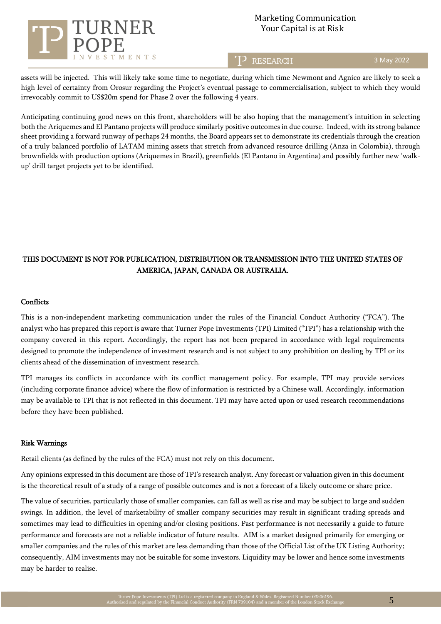

## Marketing Communication Your Capital is at Risk

**RESEARCH** 

3 May 2022

assets will be injected. This will likely take some time to negotiate, during which time Newmont and Agnico are likely to seek a high level of certainty from Orosur regarding the Project's eventual passage to commercialisation, subject to which they would irrevocably commit to US\$20m spend for Phase 2 over the following 4 years.

Anticipating continuing good news on this front, shareholders will be also hoping that the management's intuition in selecting both the Ariquemes and El Pantano projects will produce similarly positive outcomes in due course. Indeed, with its strong balance sheet providing a forward runway of perhaps 24 months, the Board appears set to demonstrate its credentials through the creation of a truly balanced portfolio of LATAM mining assets that stretch from advanced resource drilling (Anza in Colombia), through brownfields with production options (Ariquemes in Brazil), greenfields (El Pantano in Argentina) and possibly further new 'walkup' drill target projects yet to be identified.

# THIS DOCUMENT IS NOT FOR PUBLICATION, DISTRIBUTION OR TRANSMISSION INTO THE UNITED STATES OF AMERICA, JAPAN, CANADA OR AUSTRALIA.

### **Conflicts**

This is a non-independent marketing communication under the rules of the Financial Conduct Authority ("FCA"). The analyst who has prepared this report is aware that Turner Pope Investments (TPI) Limited ("TPI") has a relationship with the company covered in this report. Accordingly, the report has not been prepared in accordance with legal requirements designed to promote the independence of investment research and is not subject to any prohibition on dealing by TPI or its clients ahead of the dissemination of investment research.

TPI manages its conflicts in accordance with its conflict management policy. For example, TPI may provide services (including corporate finance advice) where the flow of information is restricted by a Chinese wall. Accordingly, information may be available to TPI that is not reflected in this document. TPI may have acted upon or used research recommendations before they have been published.

#### Risk Warnings

Retail clients (as defined by the rules of the FCA) must not rely on this document.

Any opinions expressed in this document are those of TPI's research analyst. Any forecast or valuation given in this document is the theoretical result of a study of a range of possible outcomes and is not a forecast of a likely outcome or share price.

The value of securities, particularly those of smaller companies, can fall as well as rise and may be subject to large and sudden swings. In addition, the level of marketability of smaller company securities may result in significant trading spreads and sometimes may lead to difficulties in opening and/or closing positions. Past performance is not necessarily a guide to future performance and forecasts are not a reliable indicator of future results. AIM is a market designed primarily for emerging or smaller companies and the rules of this market are less demanding than those of the Official List of the UK Listing Authority; consequently, AIM investments may not be suitable for some investors. Liquidity may be lower and hence some investments may be harder to realise.